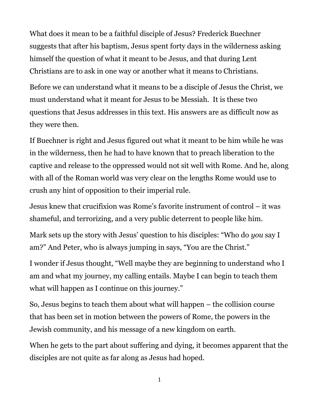What does it mean to be a faithful disciple of Jesus? Frederick Buechner suggests that after his baptism, Jesus spent forty days in the wilderness asking himself the question of what it meant to be Jesus, and that during Lent Christians are to ask in one way or another what it means to Christians.

Before we can understand what it means to be a disciple of Jesus the Christ, we must understand what it meant for Jesus to be Messiah. It is these two questions that Jesus addresses in this text. His answers are as difficult now as they were then.

If Buechner is right and Jesus figured out what it meant to be him while he was in the wilderness, then he had to have known that to preach liberation to the captive and release to the oppressed would not sit well with Rome. And he, along with all of the Roman world was very clear on the lengths Rome would use to crush any hint of opposition to their imperial rule.

Jesus knew that crucifixion was Rome's favorite instrument of control – it was shameful, and terrorizing, and a very public deterrent to people like him.

Mark sets up the story with Jesus' question to his disciples: "Who do *you* say I am?" And Peter, who is always jumping in says, "You are the Christ."

I wonder if Jesus thought, "Well maybe they are beginning to understand who I am and what my journey, my calling entails. Maybe I can begin to teach them what will happen as I continue on this journey."

So, Jesus begins to teach them about what will happen – the collision course that has been set in motion between the powers of Rome, the powers in the Jewish community, and his message of a new kingdom on earth.

When he gets to the part about suffering and dying, it becomes apparent that the disciples are not quite as far along as Jesus had hoped.

1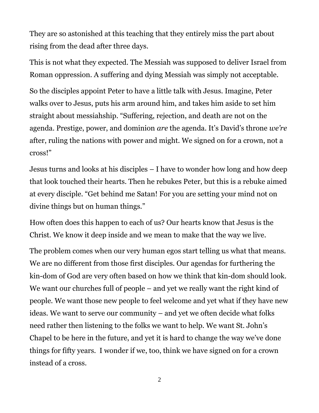They are so astonished at this teaching that they entirely miss the part about rising from the dead after three days.

This is not what they expected. The Messiah was supposed to deliver Israel from Roman oppression. A suffering and dying Messiah was simply not acceptable.

So the disciples appoint Peter to have a little talk with Jesus. Imagine, Peter walks over to Jesus, puts his arm around him, and takes him aside to set him straight about messiahship. "Suffering, rejection, and death are not on the agenda. Prestige, power, and dominion *are* the agenda. It's David's throne *we're* after, ruling the nations with power and might. We signed on for a crown, not a cross!"

Jesus turns and looks at his disciples – I have to wonder how long and how deep that look touched their hearts. Then he rebukes Peter, but this is a rebuke aimed at every disciple. "Get behind me Satan! For you are setting your mind not on divine things but on human things."

How often does this happen to each of us? Our hearts know that Jesus is the Christ. We know it deep inside and we mean to make that the way we live.

The problem comes when our very human egos start telling us what that means. We are no different from those first disciples. Our agendas for furthering the kin-dom of God are very often based on how we think that kin-dom should look. We want our churches full of people – and yet we really want the right kind of people. We want those new people to feel welcome and yet what if they have new ideas. We want to serve our community – and yet we often decide what folks need rather then listening to the folks we want to help. We want St. John's Chapel to be here in the future, and yet it is hard to change the way we've done things for fifty years. I wonder if we, too, think we have signed on for a crown instead of a cross.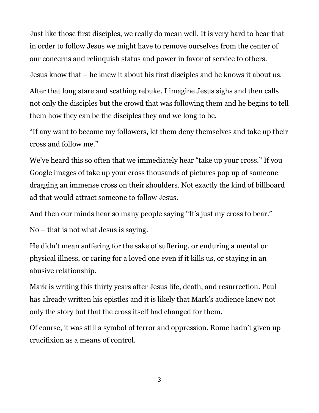Just like those first disciples, we really do mean well. It is very hard to hear that in order to follow Jesus we might have to remove ourselves from the center of our concerns and relinquish status and power in favor of service to others.

Jesus know that – he knew it about his first disciples and he knows it about us.

After that long stare and scathing rebuke, I imagine Jesus sighs and then calls not only the disciples but the crowd that was following them and he begins to tell them how they can be the disciples they and we long to be.

"If any want to become my followers, let them deny themselves and take up their cross and follow me."

We've heard this so often that we immediately hear "take up your cross." If you Google images of take up your cross thousands of pictures pop up of someone dragging an immense cross on their shoulders. Not exactly the kind of billboard ad that would attract someone to follow Jesus.

And then our minds hear so many people saying "It's just my cross to bear."

No – that is not what Jesus is saying.

He didn't mean suffering for the sake of suffering, or enduring a mental or physical illness, or caring for a loved one even if it kills us, or staying in an abusive relationship.

Mark is writing this thirty years after Jesus life, death, and resurrection. Paul has already written his epistles and it is likely that Mark's audience knew not only the story but that the cross itself had changed for them.

Of course, it was still a symbol of terror and oppression. Rome hadn't given up crucifixion as a means of control.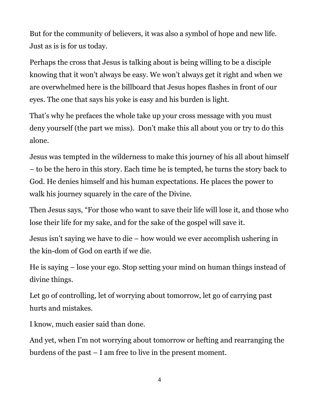But for the community of believers, it was also a symbol of hope and new life. Just as is is for us today.

Perhaps the cross that Jesus is talking about is being willing to be a disciple knowing that it won't always be easy. We won't always get it right and when we are overwhelmed here is the billboard that Jesus hopes flashes in front of our eyes. The one that says his yoke is easy and his burden is light.

That's why he prefaces the whole take up your cross message with you must deny yourself (the part we miss). Don't make this all about you or try to do this alone.

Jesus was tempted in the wilderness to make this journey of his all about himself – to be the hero in this story. Each time he is tempted, he turns the story back to God. He denies himself and his human expectations. He places the power to walk his journey squarely in the care of the Divine.

Then Jesus says, "For those who want to save their life will lose it, and those who lose their life for my sake, and for the sake of the gospel will save it.

Jesus isn't saying we have to die – how would we ever accomplish ushering in the kin-dom of God on earth if we die.

He is saying – lose your ego. Stop setting your mind on human things instead of divine things.

Let go of controlling, let of worrying about tomorrow, let go of carrying past hurts and mistakes.

I know, much easier said than done.

And yet, when I'm not worrying about tomorrow or hefting and rearranging the burdens of the past – I am free to live in the present moment.